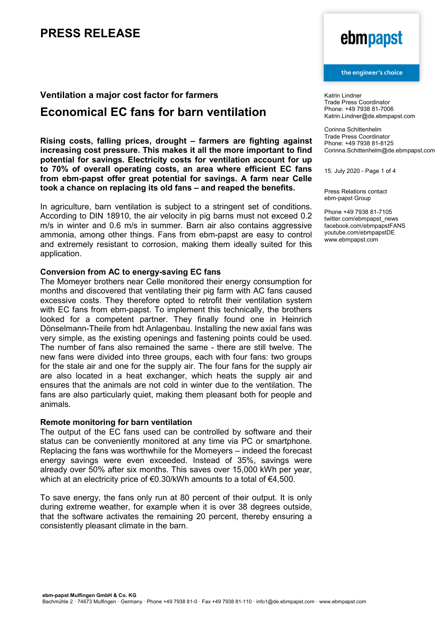## **Ventilation a major cost factor for farmers**

## **Economical EC fans for barn ventilation**

**Rising costs, falling prices, drought – farmers are fighting against increasing cost pressure. This makes it all the more important to find potential for savings. Electricity costs for ventilation account for up to 70% of overall operating costs, an area where efficient EC fans from ebm-papst offer great potential for savings. A farm near Celle took a chance on replacing its old fans – and reaped the benefits.**

In agriculture, barn ventilation is subject to a stringent set of conditions. According to DIN 18910, the air velocity in pig barns must not exceed 0.2 m/s in winter and 0.6 m/s in summer. Barn air also contains aggressive ammonia, among other things. Fans from ebm-papst are easy to control and extremely resistant to corrosion, making them ideally suited for this application.

### **Conversion from AC to energy-saving EC fans**

The Momeyer brothers near Celle monitored their energy consumption for months and discovered that ventilating their pig farm with AC fans caused excessive costs. They therefore opted to retrofit their ventilation system with EC fans from ebm-papst. To implement this technically, the brothers looked for a competent partner. They finally found one in Heinrich Dönselmann-Theile from hdt Anlagenbau. Installing the new axial fans was very simple, as the existing openings and fastening points could be used. The number of fans also remained the same - there are still twelve. The new fans were divided into three groups, each with four fans: two groups for the stale air and one for the supply air. The four fans for the supply air are also located in a heat exchanger, which heats the supply air and ensures that the animals are not cold in winter due to the ventilation. The fans are also particularly quiet, making them pleasant both for people and animals.

### **Remote monitoring for barn ventilation**

The output of the EC fans used can be controlled by software and their status can be conveniently monitored at any time via PC or smartphone. Replacing the fans was worthwhile for the Momeyers – indeed the forecast energy savings were even exceeded. Instead of 35%, savings were already over 50% after six months. This saves over 15,000 kWh per year, which at an electricity price of €0.30/kWh amounts to a total of €4,500.

To save energy, the fans only run at 80 percent of their output. It is only during extreme weather, for example when it is over 38 degrees outside, that the software activates the remaining 20 percent, thereby ensuring a consistently pleasant climate in the barn.

# ebmpapst

#### the engineer's choice

Katrin Lindner Trade Press Coordinator Phone: +49 7938 81-7006 Katrin.Lindner@de.ebmpapst.com

Corinna Schittenhelm Trade Press Coordinator Phone: +49 7938 81-8125 Corinna.Schittenhelm@de.ebmpapst.com

15. July 2020 - Page 1 of 4

Press Relations contact ebm-papst Group

Phone +49 7938 81-7105 twitter.com/ebmpapst\_news facebook.com/ebmpapstFANS youtube.com/ebmpapstDE www.ebmpapst.com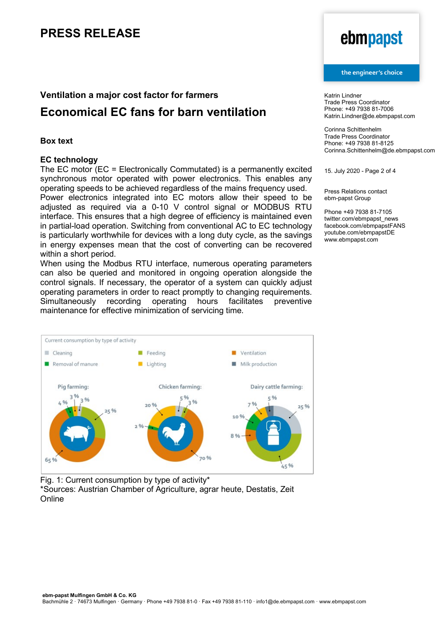### **Ventilation a major cost factor for farmers**

## **Economical EC fans for barn ventilation**

### **Box text**

### **EC technology**

The EC motor (EC = Electronically Commutated) is a permanently excited synchronous motor operated with power electronics. This enables any operating speeds to be achieved regardless of the mains frequency used. Power electronics integrated into EC motors allow their speed to be adjusted as required via a 0-10 V control signal or MODBUS RTU interface. This ensures that a high degree of efficiency is maintained even in partial-load operation. Switching from conventional AC to EC technology is particularly worthwhile for devices with a long duty cycle, as the savings in energy expenses mean that the cost of converting can be recovered within a short period.

When using the Modbus RTU interface, numerous operating parameters can also be queried and monitored in ongoing operation alongside the control signals. If necessary, the operator of a system can quickly adjust operating parameters in order to react promptly to changing requirements.<br>Simultaneously recording operating hours facilitates preventive Simultaneously recording operating hours facilitates preventive maintenance for effective minimization of servicing time.



Fig. 1: Current consumption by type of activity\* \*Sources: Austrian Chamber of Agriculture, agrar heute, Destatis, Zeit

Online

# ebmpapst

#### the engineer's choice

Katrin Lindner Trade Press Coordinator Phone: +49 7938 81-7006 Katrin.Lindner@de.ebmpapst.com

Corinna Schittenhelm Trade Press Coordinator Phone: +49 7938 81-8125 Corinna.Schittenhelm@de.ebmpapst.com

15. July 2020 - Page 2 of 4

Press Relations contact ebm-papst Group

Phone +49 7938 81-7105 twitter.com/ebmpapst\_news facebook.com/ebmpapstFANS youtube.com/ebmpapstDE www.ebmpapst.com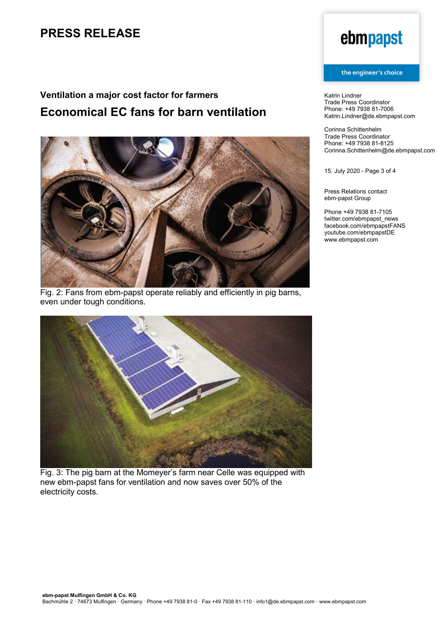## **Ventilation a major cost factor for farmers Economical EC fans for barn ventilation**



Fig. 2: Fans from ebm-papst operate reliably and efficiently in pig barns, even under tough conditions.



Fig. 3: The pig barn at the Momeyer's farm near Celle was equipped with new ebm-papst fans for ventilation and now saves over 50% of the electricity costs.

# ebmpapst

#### the engineer's choice

Katrin Lindner Trade Press Coordinator Phone: +49 7938 81-7006 Katrin.Lindner@de.ebmpapst.com

Corinna Schittenhelm Trade Press Coordinator Phone: +49 7938 81-8125 Corinna.Schittenhelm@de.ebmpapst.com

15. July 2020 - Page 3 of 4

Press Relations contact ebm-papst Group

Phone +49 7938 81-7105 twitter.com/ebmpapst\_news facebook.com/ebmpapstFANS youtube.com/ebmpapstDE www.ebmpapst.com